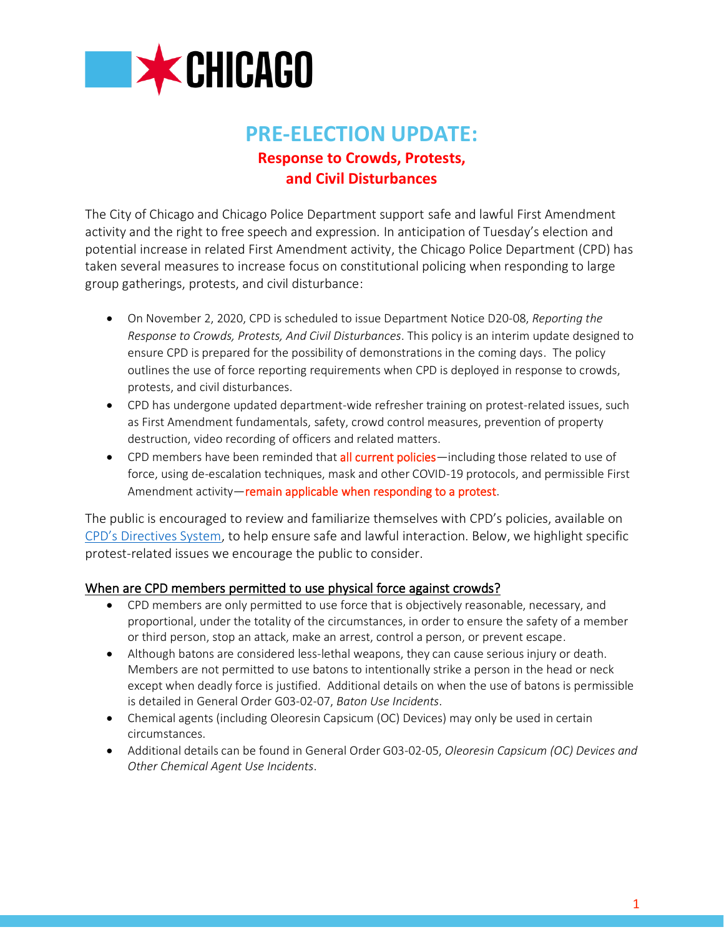

# **PRE-ELECTION UPDATE: Response to Crowds, Protests, and Civil Disturbances**

The City of Chicago and Chicago Police Department support safe and lawful First Amendment activity and the right to free speech and expression. In anticipation of Tuesday's election and potential increase in related First Amendment activity, the Chicago Police Department (CPD) has taken several measures to increase focus on constitutional policing when responding to large group gatherings, protests, and civil disturbance:

- On November 2, 2020, CPD is scheduled to issue Department Notice D20-08, *Reporting the Response to Crowds, Protests, And Civil Disturbances*. This policy is an interim update designed to ensure CPD is prepared for the possibility of demonstrations in the coming days. The policy outlines the use of force reporting requirements when CPD is deployed in response to crowds, protests, and civil disturbances.
- CPD has undergone updated department-wide refresher training on protest-related issues, such as First Amendment fundamentals, safety, crowd control measures, prevention of property destruction, video recording of officers and related matters.
- CPD members have been reminded that all current policies—including those related to use of force, using de-escalation techniques, mask and other COVID-19 protocols, and permissible First Amendment activity—remain applicable when responding to a protest.

The public is encouraged to review and familiarize themselves with CPD's policies, available on [CPD's Directives System](http://directives.chicagopolice.org/directives/), to help ensure safe and lawful interaction. Below, we highlight specific protest-related issues we encourage the public to consider.

## When are CPD members permitted to use physical force against crowds?

- CPD members are only permitted to use force that is objectively reasonable, necessary, and proportional, under the totality of the circumstances, in order to ensure the safety of a member or third person, stop an attack, make an arrest, control a person, or prevent escape.
- Although batons are considered less-lethal weapons, they can cause serious injury or death. Members are not permitted to use batons to intentionally strike a person in the head or neck except when deadly force is justified. Additional details on when the use of batons is permissible is detailed in General Order G03-02-07, *Baton Use Incidents*.
- Chemical agents (including Oleoresin Capsicum (OC) Devices) may only be used in certain circumstances.
- Additional details can be found in General Order G03-02-05, *Oleoresin Capsicum (OC) Devices and Other Chemical Agent Use Incidents*.